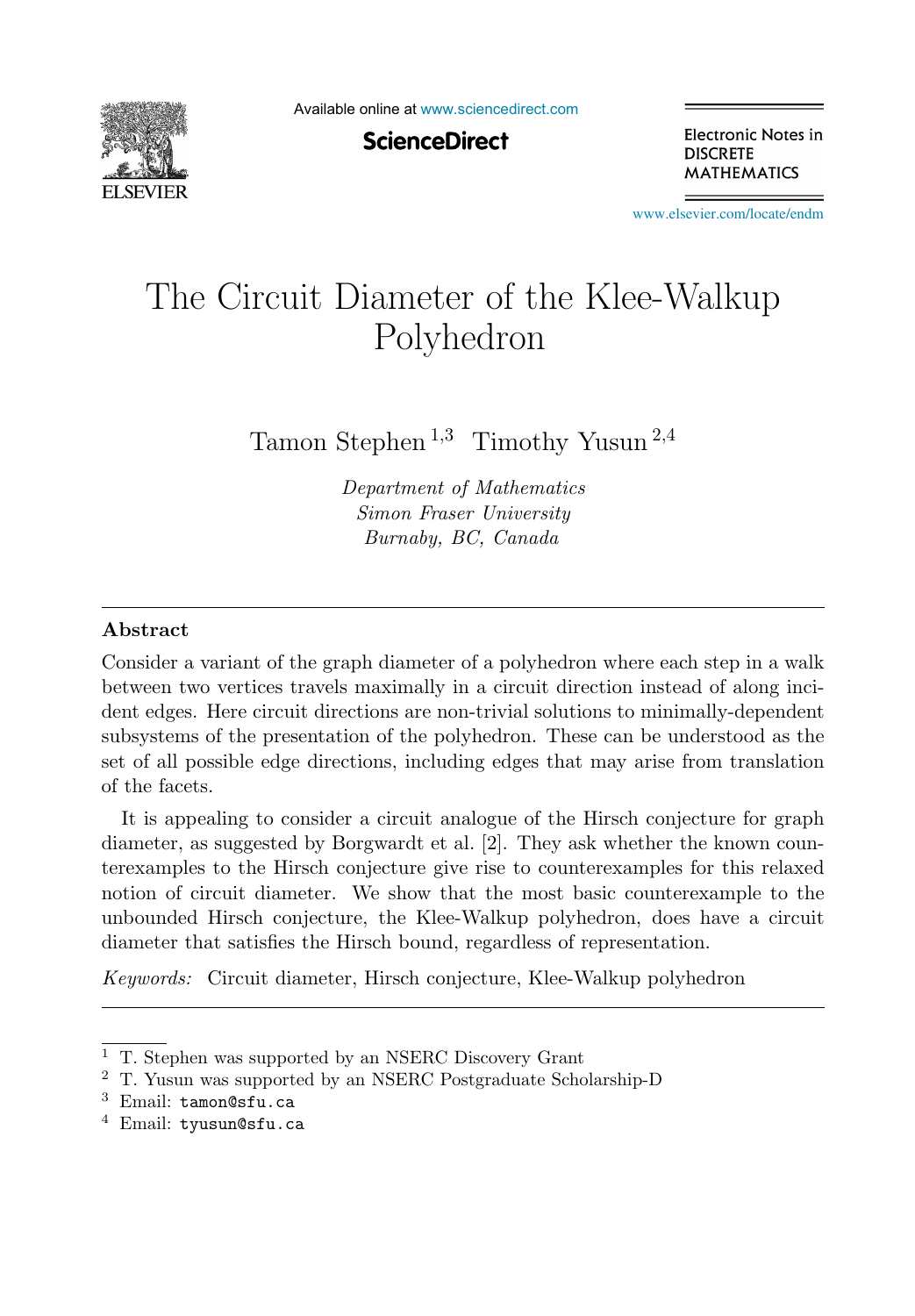

Available online at [www.sciencedirect.com](http://www.sciencedirect.com)

**ScienceDirect** 

Electronic Notes in **DISCRETE MATHEMATICS** 

[www.elsevier.com/locate/endm](http://www.elsevier.com/locate/endm)

# The Circuit Diameter of the Klee-Walkup Polyhedron

Tamon Stephen<sup>1,3</sup> Timothy Yusun<sup>2,4</sup>

Department of Mathematics Simon Fraser University Burnaby, BC, Canada

#### **Abstract**

Consider a variant of the graph diameter of a polyhedron where each step in a walk between two vertices travels maximally in a circuit direction instead of along incident edges. Here circuit directions are non-trivial solutions to minimally-dependent subsystems of the presentation of the polyhedron. These can be understood as the set of all possible edge directions, including edges that may arise from translation of the facets.

It is appealing to consider a circuit analogue of the Hirsch conjecture for graph diameter, as suggested by Borgwardt et al. [2]. They ask whether the known counterexamples to the Hirsch conjecture give rise to counterexamples for this relaxed notion of circuit diameter. We show that the most basic counterexample to the unbounded Hirsch conjecture, the Klee-Walkup polyhedron, does have a circuit diameter that satisfies the Hirsch bound, regardless of representation.

Keywords: Circuit diameter, Hirsch conjecture, Klee-Walkup polyhedron

<sup>4</sup> Email: tyusun@sfu.ca

<sup>1</sup> T. Stephen was supported by an NSERC Discovery Grant

<sup>2</sup> T. Yusun was supported by an NSERC Postgraduate Scholarship-D

<sup>3</sup> Email: tamon@sfu.ca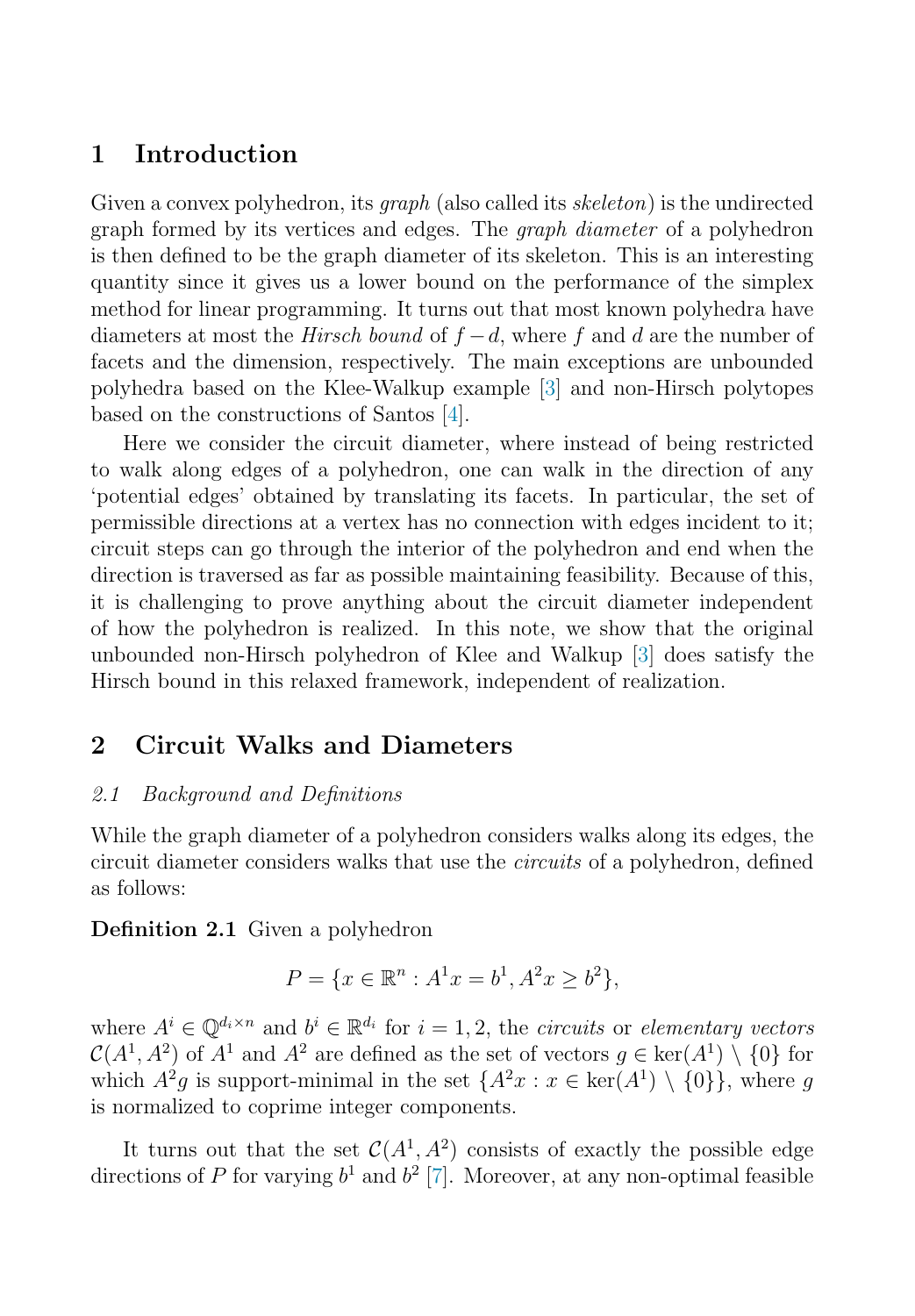## **1 Introduction**

Given a convex polyhedron, its *graph* (also called its *skeleton*) is the undirected graph formed by its vertices and edges. The *graph diameter* of a polyhedron is then defined to be the graph diameter of its skeleton. This is an interesting quantity since it gives us a lower bound on the performance of the simplex method for linear programming. It turns out that most known polyhedra have diameters at most the *Hirsch bound* of  $f - d$ , where f and d are the number of facets and the dimension, respectively. The main exceptions are unbounded polyhedra based on the Klee-Walkup example [\[3\]](#page-6-0) and non-Hirsch polytopes based on the constructions of Santos [\[4\]](#page-6-0).

Here we consider the circuit diameter, where instead of being restricted to walk along edges of a polyhedron, one can walk in the direction of any 'potential edges' obtained by translating its facets. In particular, the set of permissible directions at a vertex has no connection with edges incident to it; circuit steps can go through the interior of the polyhedron and end when the direction is traversed as far as possible maintaining feasibility. Because of this, it is challenging to prove anything about the circuit diameter independent of how the polyhedron is realized. In this note, we show that the original unbounded non-Hirsch polyhedron of Klee and Walkup [\[3\]](#page-6-0) does satisfy the Hirsch bound in this relaxed framework, independent of realization.

## **2 Circuit Walks and Diameters**

#### 2.1 Background and Definitions

While the graph diameter of a polyhedron considers walks along its edges, the circuit diameter considers walks that use the circuits of a polyhedron, defined as follows:

**Definition 2.1** Given a polyhedron

$$
P = \{x \in \mathbb{R}^n : A^1x = b^1, A^2x \ge b^2\},\
$$

where  $A^i \in \mathbb{Q}^{d_i \times n}$  and  $b^i \in \mathbb{R}^{d_i}$  for  $i = 1, 2$ , the *circuits* or *elementary vectors*  $\mathcal{C}(A^1, A^2)$  of  $A^1$  and  $A^2$  are defined as the set of vectors  $q \in \text{ker}(A^1) \setminus \{0\}$  for which  $A^2g$  is support-minimal in the set  $\{A^2x : x \in \text{ker}(A^1) \setminus \{0\}\}\)$ , where g is normalized to coprime integer components.

It turns out that the set  $C(A^1, A^2)$  consists of exactly the possible edge directions of P for varying  $b^1$  and  $b^2$  [\[7\]](#page-7-0). Moreover, at any non-optimal feasible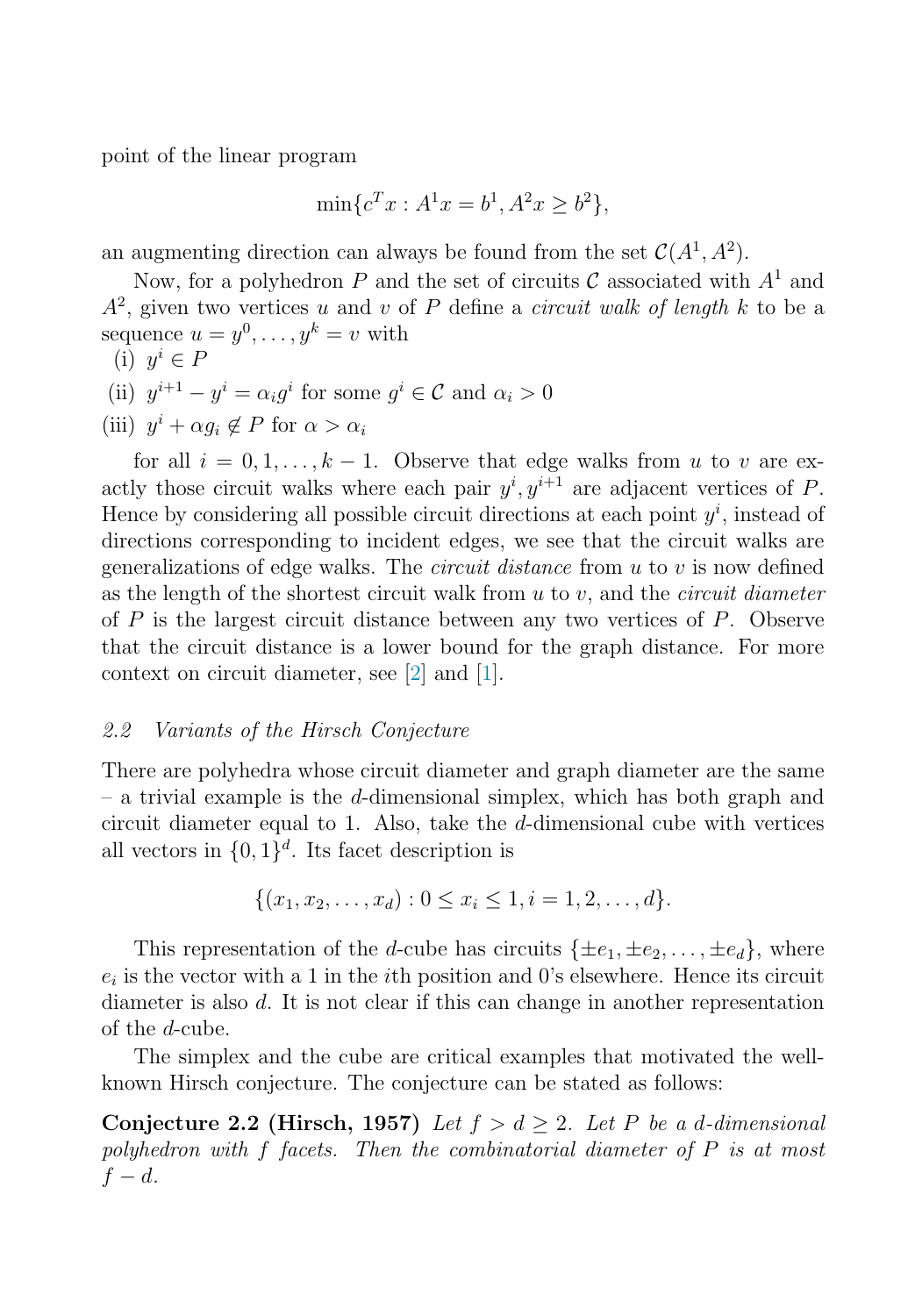point of the linear program

$$
\min \{c^T x : A^1 x = b^1, A^2 x \ge b^2\},\
$$

an augmenting direction can always be found from the set  $C(A^1, A^2)$ .

Now, for a polyhedron P and the set of circuits C associated with  $A<sup>1</sup>$  and  $A<sup>2</sup>$ , given two vertices u and v of P define a *circuit walk of length* k to be a sequence  $u = y^0, \ldots, y^k = v$  with

- (i)  $y^i \in P$
- (ii)  $y^{i+1} y^i = \alpha_i q^i$  for some  $q^i \in \mathcal{C}$  and  $\alpha_i > 0$
- (iii)  $y^i + \alpha q_i \notin P$  for  $\alpha > \alpha_i$

for all  $i = 0, 1, \ldots, k - 1$ . Observe that edge walks from u to v are exactly those circuit walks where each pair  $y^i, y^{i+1}$  are adjacent vertices of P. Hence by considering all possible circuit directions at each point  $y^i$ , instead of directions corresponding to incident edges, we see that the circuit walks are generalizations of edge walks. The *circuit distance* from  $u$  to  $v$  is now defined as the length of the shortest circuit walk from  $u$  to  $v$ , and the *circuit diameter* of  $P$  is the largest circuit distance between any two vertices of  $P$ . Observe that the circuit distance is a lower bound for the graph distance. For more context on circuit diameter, see [\[2\]](#page-6-0) and [\[1\]](#page-6-0).

#### 2.2 Variants of the Hirsch Conjecture

There are polyhedra whose circuit diameter and graph diameter are the same  $-$  a trivial example is the d-dimensional simplex, which has both graph and circuit diameter equal to 1. Also, take the d-dimensional cube with vertices all vectors in  $\{0, 1\}^d$ . Its facet description is

$$
\{(x_1, x_2, \ldots, x_d) : 0 \le x_i \le 1, i = 1, 2, \ldots, d\}.
$$

This representation of the d-cube has circuits  $\{\pm e_1, \pm e_2, \ldots, \pm e_d\}$ , where  $e_i$  is the vector with a 1 in the *i*th position and 0's elsewhere. Hence its circuit diameter is also d. It is not clear if this can change in another representation of the d-cube.

The simplex and the cube are critical examples that motivated the wellknown Hirsch conjecture. The conjecture can be stated as follows:

**Conjecture 2.2 (Hirsch, 1957)** Let  $f > d \ge 2$ . Let P be a d-dimensional polyhedron with f facets. Then the combinatorial diameter of P is at most  $f - d$ .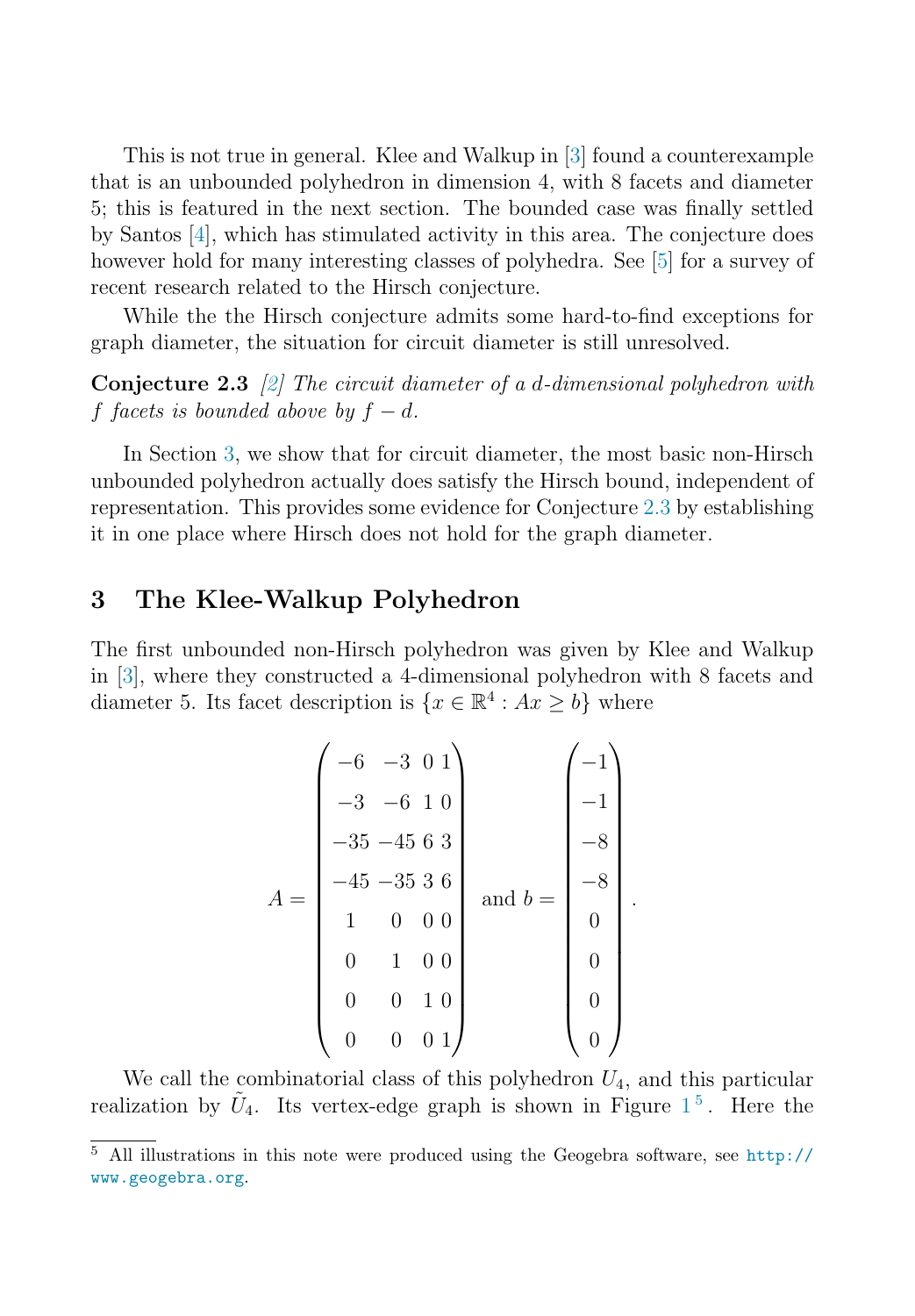This is not true in general. Klee and Walkup in [\[3\]](#page-6-0) found a counterexample that is an unbounded polyhedron in dimension 4, with 8 facets and diameter 5; this is featured in the next section. The bounded case was finally settled by Santos [\[4\]](#page-6-0), which has stimulated activity in this area. The conjecture does however hold for many interesting classes of polyhedra. See [\[5\]](#page-6-0) for a survey of recent research related to the Hirsch conjecture.

While the the Hirsch conjecture admits some hard-to-find exceptions for graph diameter, the situation for circuit diameter is still unresolved.

**Conjecture 2.3** [\[2\]](#page-6-0) The circuit diameter of a d-dimensional polyhedron with f facets is bounded above by  $f - d$ .

In Section 3, we show that for circuit diameter, the most basic non-Hirsch unbounded polyhedron actually does satisfy the Hirsch bound, independent of representation. This provides some evidence for Conjecture 2.3 by establishing it in one place where Hirsch does not hold for the graph diameter.

## **3 The Klee-Walkup Polyhedron**

The first unbounded non-Hirsch polyhedron was given by Klee and Walkup in [\[3\]](#page-6-0), where they constructed a 4-dimensional polyhedron with 8 facets and diameter 5. Its facet description is  $\{x \in \mathbb{R}^4 : Ax > b\}$  where

$$
A = \begin{pmatrix} -6 & -3 & 0 & 1 \\ -3 & -6 & 1 & 0 \\ -35 & -45 & 6 & 3 \\ -45 & -35 & 3 & 6 \\ 1 & 0 & 0 & 0 \\ 0 & 1 & 0 & 0 \\ 0 & 0 & 1 & 0 \\ 0 & 0 & 0 & 1 \end{pmatrix} \text{ and } b = \begin{pmatrix} -1 \\ -1 \\ -8 \\ -8 \\ 0 \\ 0 \\ 0 \\ 0 \\ 0 \end{pmatrix}
$$

.

We call the combinatorial class of this polyhedron  $U_4$ , and this particular realization by  $\tilde{U}_4$ . Its vertex-edge graph is shown in Figure  $1^5$  $1^5$ . Here the

<sup>5</sup> All illustrations in this note were produced using the Geogebra software, see [http://](http://www.geogebra.org) [www.geogebra.org](http://www.geogebra.org).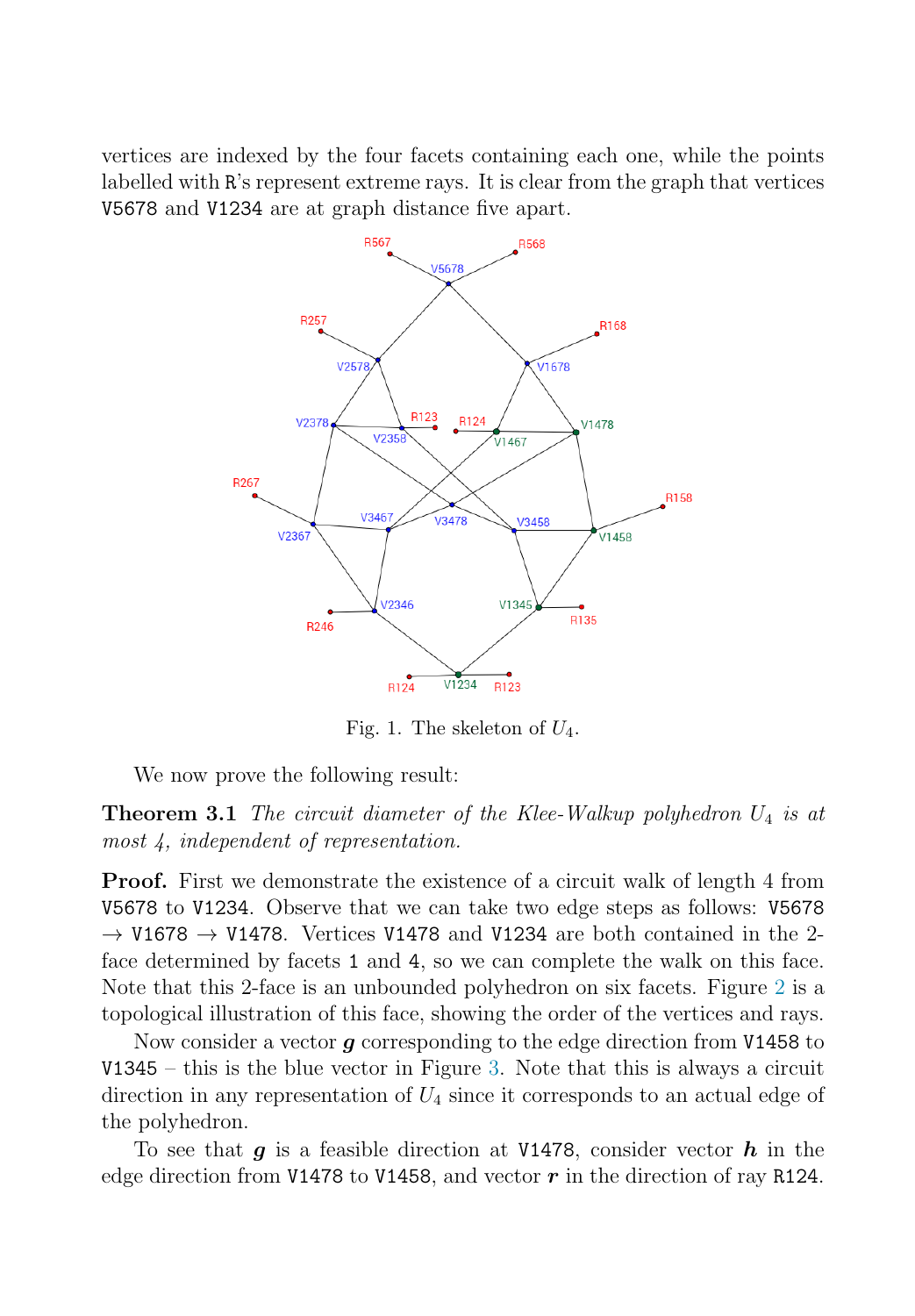<span id="page-4-0"></span>vertices are indexed by the four facets containing each one, while the points labelled with R's represent extreme rays. It is clear from the graph that vertices V5678 and V1234 are at graph distance five apart.



Fig. 1. The skeleton of  $U_4$ .

We now prove the following result:

**Theorem 3.1** The circuit diameter of the Klee-Walkup polyhedron  $U_4$  is at most 4, independent of representation.

**Proof.** First we demonstrate the existence of a circuit walk of length 4 from V5678 to V1234. Observe that we can take two edge steps as follows: V5678  $\rightarrow$  V1678  $\rightarrow$  V1478. Vertices V1478 and V1234 are both contained in the 2face determined by facets 1 and 4, so we can complete the walk on this face. Note that this 2-face is an unbounded polyhedron on six facets. Figure [2](#page-5-0) is a topological illustration of this face, showing the order of the vertices and rays.

Now consider a vector *g* corresponding to the edge direction from V1458 to  $V1345 -$  this is the blue vector in Figure [3.](#page-5-0) Note that this is always a circuit direction in any representation of  $U_4$  since it corresponds to an actual edge of the polyhedron.

To see that *g* is a feasible direction at V1478, consider vector *h* in the edge direction from V1478 to V1458, and vector  $\boldsymbol{r}$  in the direction of ray R124.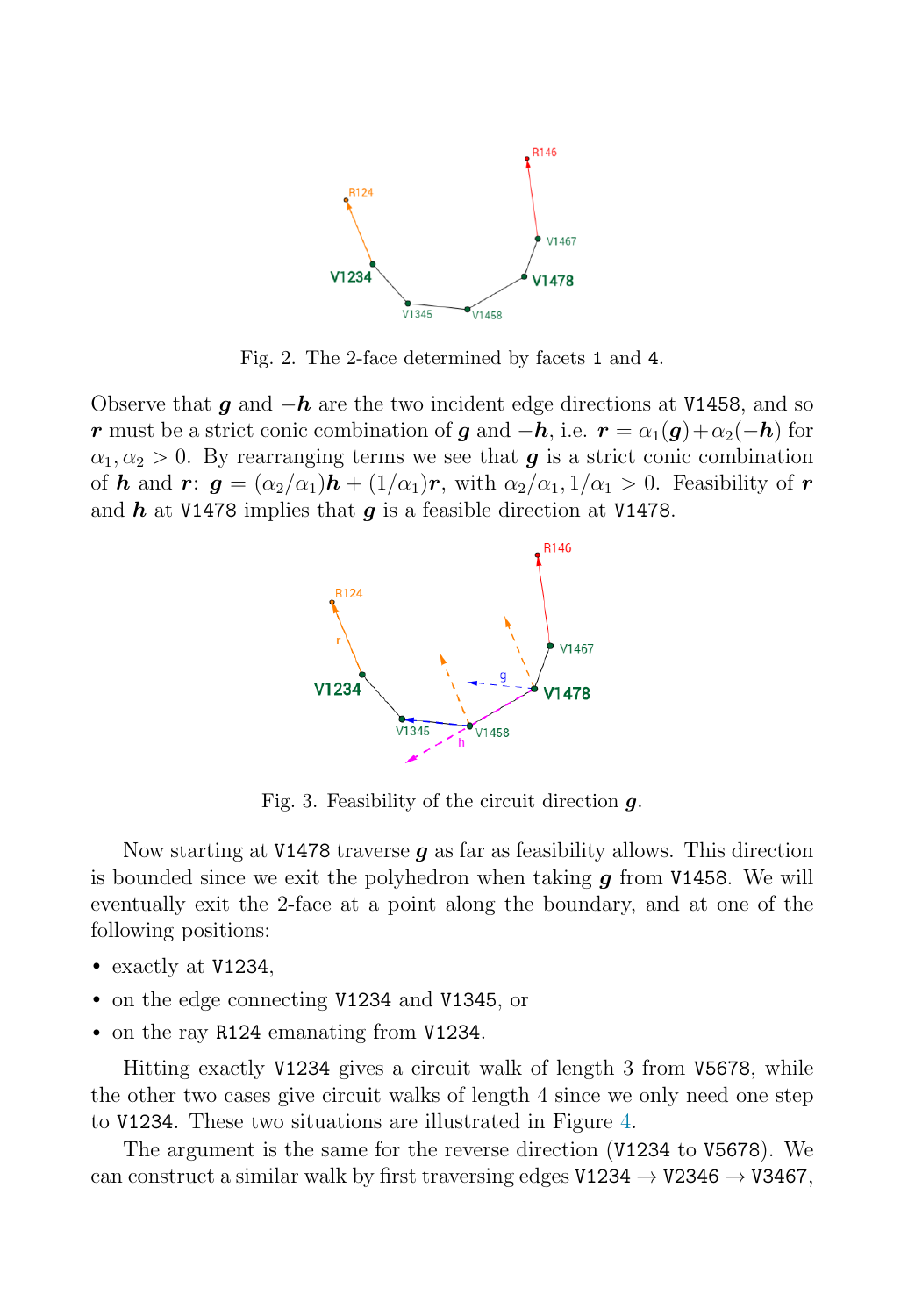<span id="page-5-0"></span>

Fig. 2. The 2-face determined by facets 1 and 4.

Observe that *g* and <sup>−</sup>*h* are the two incident edge directions at V1458, and so *r* must be a strict conic combination of *g* and  $-h$ , i.e.  $r = \alpha_1(g) + \alpha_2(-h)$  for  $\alpha_1, \alpha_2 > 0$ . By rearranging terms we see that *g* is a strict conic combination of *h* and *r*:  $g = (\alpha_2/\alpha_1)h + (1/\alpha_1)r$ , with  $\alpha_2/\alpha_1, 1/\alpha_1 > 0$ . Feasibility of *r* and *h* at V1478 implies that *g* is a feasible direction at V1478.



Fig. 3. Feasibility of the circuit direction *g*.

Now starting at V1478 traverse *g* as far as feasibility allows. This direction is bounded since we exit the polyhedron when taking *g* from V1458. We will eventually exit the 2-face at a point along the boundary, and at one of the following positions:

- exactly at V1234,
- on the edge connecting V1234 and V1345, or
- on the ray R124 emanating from V1234.

Hitting exactly V1234 gives a circuit walk of length 3 from V5678, while the other two cases give circuit walks of length 4 since we only need one step to V1234. These two situations are illustrated in Figure [4.](#page-6-0)

The argument is the same for the reverse direction (V1234 to V5678). We can construct a similar walk by first traversing edges  $V1234 \rightarrow V2346 \rightarrow V3467$ ,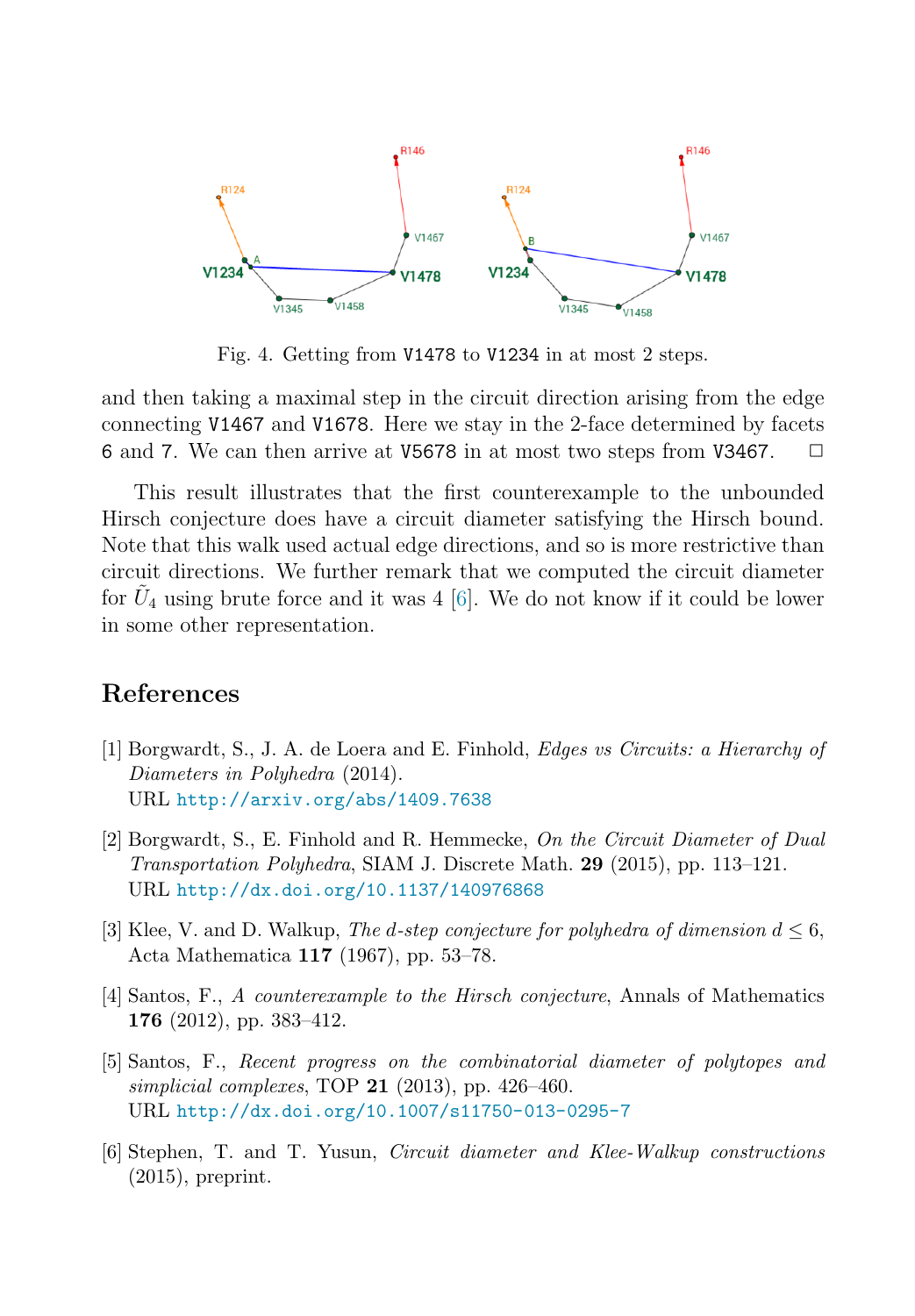<span id="page-6-0"></span>

Fig. 4. Getting from V1478 to V1234 in at most 2 steps.

and then taking a maximal step in the circuit direction arising from the edge connecting V1467 and V1678. Here we stay in the 2-face determined by facets 6 and 7. We can then arrive at V5678 in at most two steps from V3467.  $\Box$ 

This result illustrates that the first counterexample to the unbounded Hirsch conjecture does have a circuit diameter satisfying the Hirsch bound. Note that this walk used actual edge directions, and so is more restrictive than circuit directions. We further remark that we computed the circuit diameter for  $U_4$  using brute force and it was 4 [6]. We do not know if it could be lower in some other representation.

### **References**

- [1] Borgwardt, S., J. A. de Loera and E. Finhold, Edges vs Circuits: a Hierarchy of Diameters in Polyhedra (2014). URL <http://arxiv.org/abs/1409.7638>
- [2] Borgwardt, S., E. Finhold and R. Hemmecke, On the Circuit Diameter of Dual Transportation Polyhedra, SIAM J. Discrete Math. **29** (2015), pp. 113–121. URL <http://dx.doi.org/10.1137/140976868>
- [3] Klee, V. and D. Walkup, The d-step conjecture for polyhedra of dimension  $d \leq 6$ , Acta Mathematica **117** (1967), pp. 53–78.
- [4] Santos, F., A counterexample to the Hirsch conjecture, Annals of Mathematics **176** (2012), pp. 383–412.
- [5] Santos, F., Recent progress on the combinatorial diameter of polytopes and simplicial complexes, TOP **21** (2013), pp. 426–460. URL <http://dx.doi.org/10.1007/s11750-013-0295-7>
- [6] Stephen, T. and T. Yusun, Circuit diameter and Klee-Walkup constructions (2015), preprint.